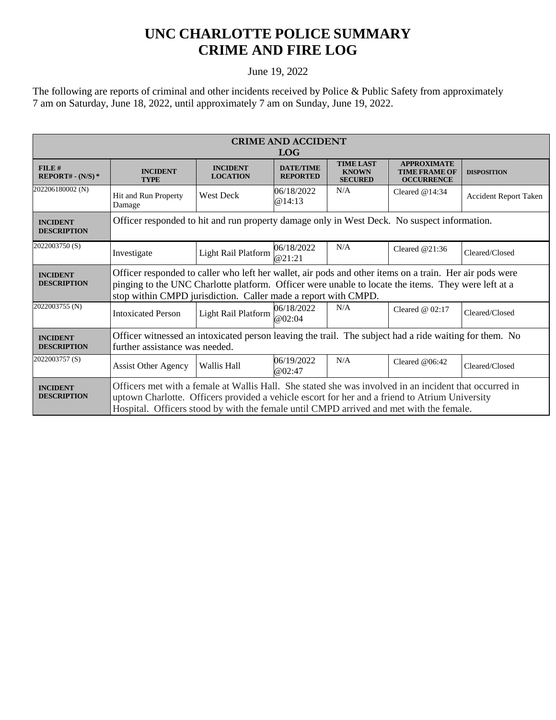## **UNC CHARLOTTE POLICE SUMMARY CRIME AND FIRE LOG**

## June 19, 2022

The following are reports of criminal and other incidents received by Police & Public Safety from approximately 7 am on Saturday, June 18, 2022, until approximately 7 am on Sunday, June 19, 2022.

| <b>CRIME AND ACCIDENT</b><br><b>LOG</b> |                                                                                                                                                                                                                                                                                                     |                                    |                                     |                                                    |                                                                 |                              |  |
|-----------------------------------------|-----------------------------------------------------------------------------------------------------------------------------------------------------------------------------------------------------------------------------------------------------------------------------------------------------|------------------------------------|-------------------------------------|----------------------------------------------------|-----------------------------------------------------------------|------------------------------|--|
| FILE#<br>$REPORT# - (N/S)*$             | <b>INCIDENT</b><br><b>TYPE</b>                                                                                                                                                                                                                                                                      | <b>INCIDENT</b><br><b>LOCATION</b> | <b>DATE/TIME</b><br><b>REPORTED</b> | <b>TIME LAST</b><br><b>KNOWN</b><br><b>SECURED</b> | <b>APPROXIMATE</b><br><b>TIME FRAME OF</b><br><b>OCCURRENCE</b> | <b>DISPOSITION</b>           |  |
| 202206180002 (N)                        | Hit and Run Property<br>Damage                                                                                                                                                                                                                                                                      | <b>West Deck</b>                   | 06/18/2022<br>@14:13                | N/A                                                | Cleared $@14:34$                                                | <b>Accident Report Taken</b> |  |
| <b>INCIDENT</b><br><b>DESCRIPTION</b>   | Officer responded to hit and run property damage only in West Deck. No suspect information.                                                                                                                                                                                                         |                                    |                                     |                                                    |                                                                 |                              |  |
| 2022003750(S)                           | Investigate                                                                                                                                                                                                                                                                                         | Light Rail Platform                | 06/18/2022<br>@21:21                | N/A                                                | Cleared $@21:36$                                                | Cleared/Closed               |  |
| <b>INCIDENT</b><br><b>DESCRIPTION</b>   | Officer responded to caller who left her wallet, air pods and other items on a train. Her air pods were<br>pinging to the UNC Charlotte platform. Officer were unable to locate the items. They were left at a<br>stop within CMPD jurisdiction. Caller made a report with CMPD.                    |                                    |                                     |                                                    |                                                                 |                              |  |
| 2022003755 (N)                          | <b>Intoxicated Person</b>                                                                                                                                                                                                                                                                           | Light Rail Platform                | 06/18/2022<br>@02:04                | N/A                                                | Cleared $@02:17$                                                | Cleared/Closed               |  |
| <b>INCIDENT</b><br><b>DESCRIPTION</b>   | Officer witnessed an intoxicated person leaving the trail. The subject had a ride waiting for them. No<br>further assistance was needed.                                                                                                                                                            |                                    |                                     |                                                    |                                                                 |                              |  |
| 2022003757 (S)                          | <b>Assist Other Agency</b>                                                                                                                                                                                                                                                                          | Wallis Hall                        | 06/19/2022<br>@02:47                | N/A                                                | Cleared $@06:42$                                                | Cleared/Closed               |  |
| <b>INCIDENT</b><br><b>DESCRIPTION</b>   | Officers met with a female at Wallis Hall. She stated she was involved in an incident that occurred in<br>uptown Charlotte. Officers provided a vehicle escort for her and a friend to Atrium University<br>Hospital. Officers stood by with the female until CMPD arrived and met with the female. |                                    |                                     |                                                    |                                                                 |                              |  |